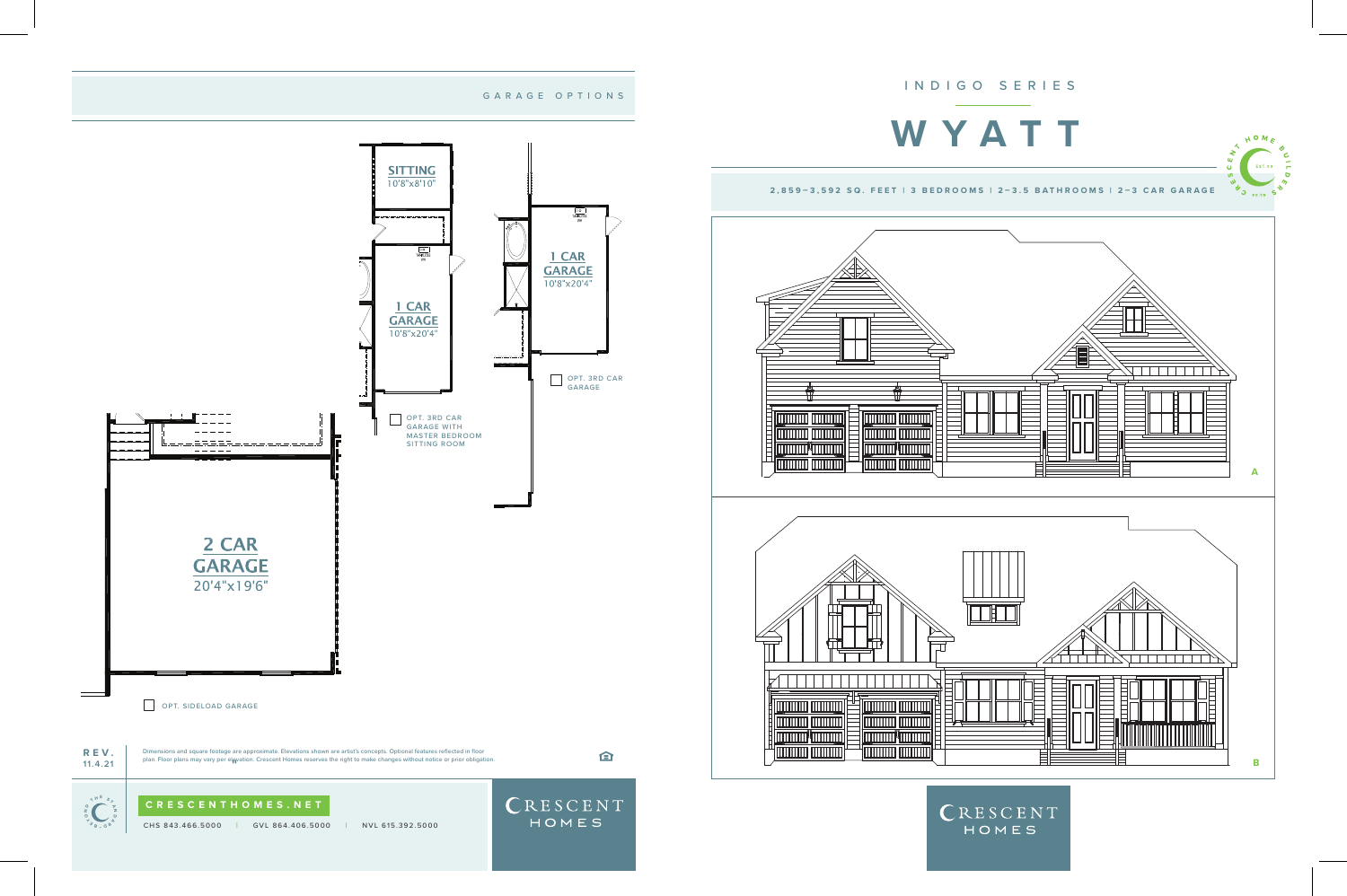

**TELEVISION CONTINUES** 

**TITULITII** TITULITII

 $=$   $\sqrt{2}$ 

**TARRET AND THE TIME OF STARRET** 

**ITITI IIII IIIIIIIIII** 

<u>' (MANA MANA</u>

**TITULITI TITULITI** 

<u> IIIIIIIIIII <mark>IIIIIIIII</mark></u>

**Immuration** 

**TITULITII | TITULITII |** 

**MANITE TITULITI TITULITI** 



CRESCENT HOMES



## GARAGE OPTIONS